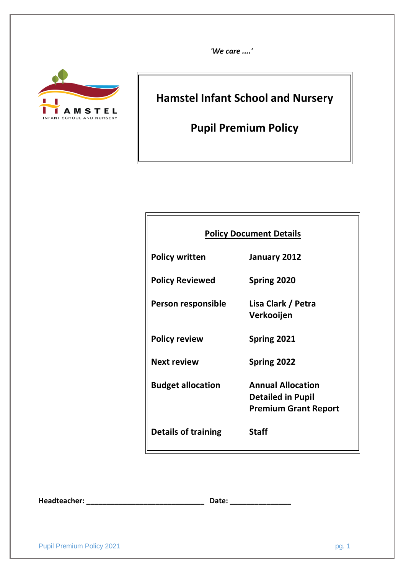*'We care ....'*



# **Hamstel Infant School and Nursery**

**Pupil Premium Policy**

| <b>Policy Document Details</b> |                                                                                     |  |  |  |  |  |
|--------------------------------|-------------------------------------------------------------------------------------|--|--|--|--|--|
| <b>Policy written</b>          | January 2012                                                                        |  |  |  |  |  |
| <b>Policy Reviewed</b>         | Spring 2020                                                                         |  |  |  |  |  |
| Person responsible             | Lisa Clark / Petra<br>Verkooijen                                                    |  |  |  |  |  |
| <b>Policy review</b>           | Spring 2021                                                                         |  |  |  |  |  |
| <b>Next review</b>             | Spring 2022                                                                         |  |  |  |  |  |
| <b>Budget allocation</b>       | <b>Annual Allocation</b><br><b>Detailed in Pupil</b><br><b>Premium Grant Report</b> |  |  |  |  |  |
| <b>Details of training</b>     | <b>Staff</b>                                                                        |  |  |  |  |  |

**Headteacher: \_\_\_\_\_\_\_\_\_\_\_\_\_\_\_\_\_\_\_\_\_\_\_\_\_\_\_\_\_ Date: \_\_\_\_\_\_\_\_\_\_\_\_\_\_\_**

| . .<br>v<br>× |  |
|---------------|--|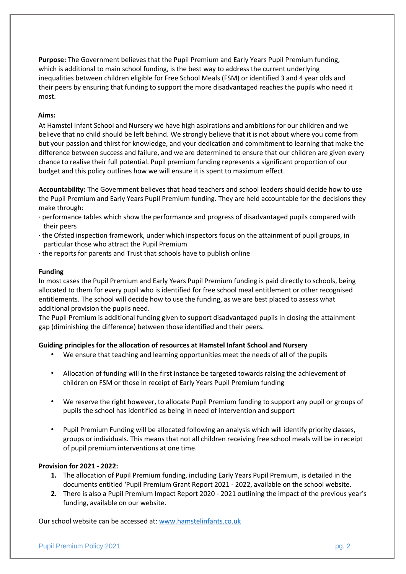**Purpose:** The Government believes that the Pupil Premium and Early Years Pupil Premium funding, which is additional to main school funding, is the best way to address the current underlying inequalities between children eligible for Free School Meals (FSM) or identified 3 and 4 year olds and their peers by ensuring that funding to support the more disadvantaged reaches the pupils who need it most.

#### **Aims:**

At Hamstel Infant School and Nursery we have high aspirations and ambitions for our children and we believe that no child should be left behind. We strongly believe that it is not about where you come from but your passion and thirst for knowledge, and your dedication and commitment to learning that make the difference between success and failure, and we are determined to ensure that our children are given every chance to realise their full potential. Pupil premium funding represents a significant proportion of our budget and this policy outlines how we will ensure it is spent to maximum effect.

**Accountability:** The Government believes that head teachers and school leaders should decide how to use the Pupil Premium and Early Years Pupil Premium funding. They are held accountable for the decisions they make through:

- · performance tables which show the performance and progress of disadvantaged pupils compared with their peers
- · the Ofsted inspection framework, under which inspectors focus on the attainment of pupil groups, in particular those who attract the Pupil Premium
- · the reports for parents and Trust that schools have to publish online

#### **Funding**

In most cases the Pupil Premium and Early Years Pupil Premium funding is paid directly to schools, being allocated to them for every pupil who is identified for free school meal entitlement or other recognised entitlements. The school will decide how to use the funding, as we are best placed to assess what additional provision the pupils need.

The Pupil Premium is additional funding given to support disadvantaged pupils in closing the attainment gap (diminishing the difference) between those identified and their peers.

#### **Guiding principles for the allocation of resources at Hamstel Infant School and Nursery**

- We ensure that teaching and learning opportunities meet the needs of **all** of the pupils
- Allocation of funding will in the first instance be targeted towards raising the achievement of children on FSM or those in receipt of Early Years Pupil Premium funding
- We reserve the right however, to allocate Pupil Premium funding to support any pupil or groups of pupils the school has identified as being in need of intervention and support
- Pupil Premium Funding will be allocated following an analysis which will identify priority classes, groups or individuals. This means that not all children receiving free school meals will be in receipt of pupil premium interventions at one time.

#### **Provision for 2021 - 2022:**

- **1.** The allocation of Pupil Premium funding, including Early Years Pupil Premium, is detailed in the documents entitled 'Pupil Premium Grant Report 2021 - 2022, available on the school website.
- **2.** There is also a Pupil Premium Impact Report 2020 2021 outlining the impact of the previous year's funding, available on our website.

Our school website can be accessed at: [www.hamstelinfants.co.uk](http://www.hamstelinfants.co.uk/)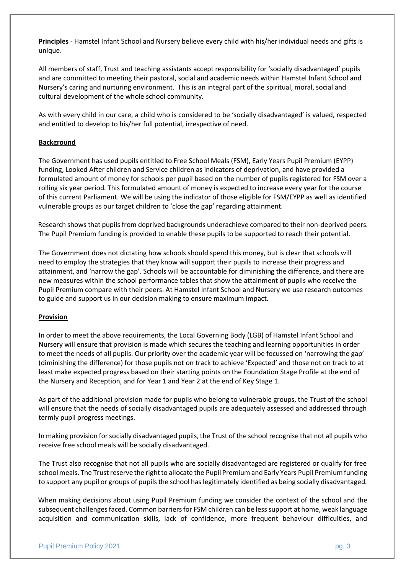**Principles** - Hamstel Infant School and Nursery believe every child with his/her individual needs and gifts is unique.

All members of staff, Trust and teaching assistants accept responsibility for 'socially disadvantaged' pupils and are committed to meeting their pastoral, social and academic needs within Hamstel Infant School and Nursery's caring and nurturing environment. This is an integral part of the spiritual, moral, social and cultural development of the whole school community.

As with every child in our care, a child who is considered to be 'socially disadvantaged' is valued, respected and entitled to develop to his/her full potential, irrespective of need.

#### **Background**

The Government has used pupils entitled to Free School Meals (FSM), Early Years Pupil Premium (EYPP) funding, Looked After children and Service children as indicators of deprivation, and have provided a formulated amount of money for schools per pupil based on the number of pupils registered for FSM over a rolling six year period. This formulated amount of money is expected to increase every year for the course of this current Parliament. We will be using the indicator of those eligible for FSM/EYPP as well as identified vulnerable groups as our target children to 'close the gap' regarding attainment.

Research shows that pupils from deprived backgrounds underachieve compared to their non-deprived peers. The Pupil Premium funding is provided to enable these pupils to be supported to reach their potential.

The Government does not dictating how schools should spend this money, but is clear that schools will need to employ the strategies that they know will support their pupils to increase their progress and attainment, and 'narrow the gap'. Schools will be accountable for diminishing the difference, and there are new measures within the school performance tables that show the attainment of pupils who receive the Pupil Premium compare with their peers. At Hamstel Infant School and Nursery we use research outcomes to guide and support us in our decision making to ensure maximum impact.

#### **Provision**

In order to meet the above requirements, the Local Governing Body (LGB) of Hamstel Infant School and Nursery will ensure that provision is made which secures the teaching and learning opportunities in order to meet the needs of all pupils. Our priority over the academic year will be focussed on 'narrowing the gap' (diminishing the difference) for those pupils not on track to achieve 'Expected' and those not on track to at least make expected progress based on their starting points on the Foundation Stage Profile at the end of the Nursery and Reception, and for Year 1 and Year 2 at the end of Key Stage 1.

As part of the additional provision made for pupils who belong to vulnerable groups, the Trust of the school will ensure that the needs of socially disadvantaged pupils are adequately assessed and addressed through termly pupil progress meetings.

In making provision for socially disadvantaged pupils, the Trust of the school recognise that not all pupils who receive free school meals will be socially disadvantaged.

The Trust also recognise that not all pupils who are socially disadvantaged are registered or qualify for free school meals. The Trust reserve the right to allocate the Pupil Premium and Early Years Pupil Premium funding to support any pupil or groups of pupils the school has legitimately identified as being socially disadvantaged.

When making decisions about using Pupil Premium funding we consider the context of the school and the subsequent challenges faced. Common barriers for FSM children can be less support at home, weak language acquisition and communication skills, lack of confidence, more frequent behaviour difficulties, and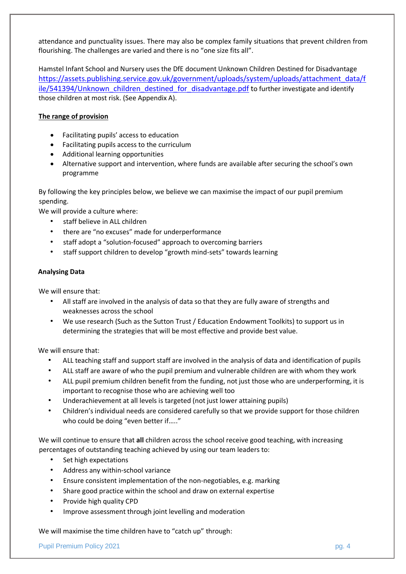attendance and punctuality issues. There may also be complex family situations that prevent children from flourishing. The challenges are varied and there is no "one size fits all".

Hamstel Infant School and Nursery uses the DfE document Unknown Children Destined for Disadvantage [https://assets.publishing.service.gov.uk/government/uploads/system/uploads/attachment\\_data/f](https://assets.publishing.service.gov.uk/government/uploads/system/uploads/attachment_data/file/541394/Unknown_children_destined_for_disadvantage.pdf) [ile/541394/Unknown\\_children\\_destined\\_for\\_disadvantage.pdf](https://assets.publishing.service.gov.uk/government/uploads/system/uploads/attachment_data/file/541394/Unknown_children_destined_for_disadvantage.pdf) to further investigate and identify those children at most risk. (See Appendix A).

## **The range of provision**

- Facilitating pupils' access to education
- Facilitating pupils access to the curriculum
- Additional learning opportunities
- Alternative support and intervention, where funds are available after securing the school's own programme

By following the key principles below, we believe we can maximise the impact of our pupil premium spending.

We will provide a culture where:

- staff believe in ALL children
- there are "no excuses" made for underperformance
- staff adopt a "solution-focused" approach to overcoming barriers
- staff support children to develop "growth mind-sets" towards learning

## **Analysing Data**

We will ensure that:

- All staff are involved in the analysis of data so that they are fully aware of strengths and weaknesses across the school
- We use research (Such as the Sutton Trust / Education Endowment Toolkits) to support us in determining the strategies that will be most effective and provide best value.

We will ensure that:

- ALL teaching staff and support staff are involved in the analysis of data and identification of pupils
- ALL staff are aware of who the pupil premium and vulnerable children are with whom they work
- ALL pupil premium children benefit from the funding, not just those who are underperforming, it is important to recognise those who are achieving well too
- Underachievement at all levels is targeted (not just lower attaining pupils)
- Children's individual needs are considered carefully so that we provide support for those children who could be doing "even better if….."

We will continue to ensure that **all** children across the school receive good teaching, with increasing percentages of outstanding teaching achieved by using our team leaders to:

- Set high expectations
- Address any within-school variance
- Ensure consistent implementation of the non-negotiables, e.g. marking
- Share good practice within the school and draw on external expertise
- Provide high quality CPD
- Improve assessment through joint levelling and moderation

We will maximise the time children have to "catch up" through: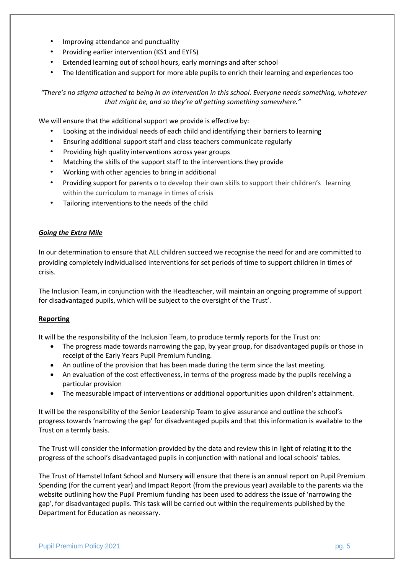- Improving attendance and punctuality
- Providing earlier intervention (KS1 and EYFS)
- Extended learning out of school hours, early mornings and after school
- The Identification and support for more able pupils to enrich their learning and experiences too

*"There's no stigma attached to being in an intervention in this school. Everyone needs something, whatever that might be, and so they're all getting something somewhere."* 

We will ensure that the additional support we provide is effective by:

- Looking at the individual needs of each child and identifying their barriers to learning
- Ensuring additional support staff and class teachers communicate regularly
- Providing high quality interventions across year groups
- Matching the skills of the support staff to the interventions they provide
- Working with other agencies to bring in additional
- Providing support for parents o to develop their own skills to support their children's learning within the curriculum to manage in times of crisis
- Tailoring interventions to the needs of the child

#### *Going the Extra Mile*

In our determination to ensure that ALL children succeed we recognise the need for and are committed to providing completely individualised interventions for set periods of time to support children in times of crisis.

The Inclusion Team, in conjunction with the Headteacher, will maintain an ongoing programme of support for disadvantaged pupils, which will be subject to the oversight of the Trust'.

#### **Reporting**

It will be the responsibility of the Inclusion Team, to produce termly reports for the Trust on:

- The progress made towards narrowing the gap, by year group, for disadvantaged pupils or those in receipt of the Early Years Pupil Premium funding.
- An outline of the provision that has been made during the term since the last meeting.
- An evaluation of the cost effectiveness, in terms of the progress made by the pupils receiving a particular provision
- The measurable impact of interventions or additional opportunities upon children's attainment.

It will be the responsibility of the Senior Leadership Team to give assurance and outline the school's progress towards 'narrowing the gap' for disadvantaged pupils and that this information is available to the Trust on a termly basis.

The Trust will consider the information provided by the data and review this in light of relating it to the progress of the school's disadvantaged pupils in conjunction with national and local schools' tables.

The Trust of Hamstel Infant School and Nursery will ensure that there is an annual report on Pupil Premium Spending (for the current year) and Impact Report (from the previous year) available to the parents via the website outlining how the Pupil Premium funding has been used to address the issue of 'narrowing the gap', for disadvantaged pupils. This task will be carried out within the requirements published by the Department for Education as necessary.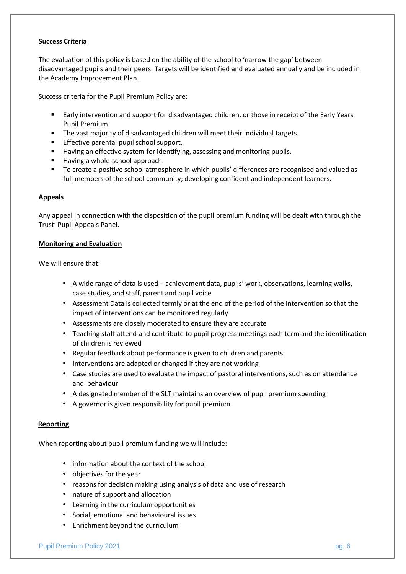#### **Success Criteria**

The evaluation of this policy is based on the ability of the school to 'narrow the gap' between disadvantaged pupils and their peers. Targets will be identified and evaluated annually and be included in the Academy Improvement Plan.

Success criteria for the Pupil Premium Policy are:

- Early intervention and support for disadvantaged children, or those in receipt of the Early Years Pupil Premium
- **The vast majority of disadvantaged children will meet their individual targets.**
- **Effective parental pupil school support.**
- **Having an effective system for identifying, assessing and monitoring pupils.**
- Having a whole-school approach.
- To create a positive school atmosphere in which pupils' differences are recognised and valued as full members of the school community; developing confident and independent learners.

#### **Appeals**

Any appeal in connection with the disposition of the pupil premium funding will be dealt with through the Trust' Pupil Appeals Panel.

#### **Monitoring and Evaluation**

We will ensure that:

- A wide range of data is used achievement data, pupils' work, observations, learning walks, case studies, and staff, parent and pupil voice
- Assessment Data is collected termly or at the end of the period of the intervention so that the impact of interventions can be monitored regularly
- Assessments are closely moderated to ensure they are accurate
- Teaching staff attend and contribute to pupil progress meetings each term and the identification of children is reviewed
- Regular feedback about performance is given to children and parents
- Interventions are adapted or changed if they are not working
- Case studies are used to evaluate the impact of pastoral interventions, such as on attendance and behaviour
- A designated member of the SLT maintains an overview of pupil premium spending
- A governor is given responsibility for pupil premium

#### **Reporting**

When reporting about pupil premium funding we will include:

- information about the context of the school
- objectives for the year
- reasons for decision making using analysis of data and use of research
- nature of support and allocation
- Learning in the curriculum opportunities
- Social, emotional and behavioural issues
- Enrichment beyond the curriculum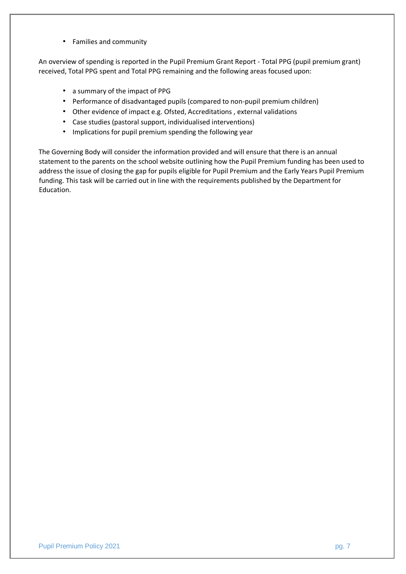• Families and community

An overview of spending is reported in the Pupil Premium Grant Report - Total PPG (pupil premium grant) received, Total PPG spent and Total PPG remaining and the following areas focused upon:

- a summary of the impact of PPG
- Performance of disadvantaged pupils (compared to non-pupil premium children)
- Other evidence of impact e.g. Ofsted, Accreditations , external validations
- Case studies (pastoral support, individualised interventions)
- Implications for pupil premium spending the following year

The Governing Body will consider the information provided and will ensure that there is an annual statement to the parents on the school website outlining how the Pupil Premium funding has been used to address the issue of closing the gap for pupils eligible for Pupil Premium and the Early Years Pupil Premium funding. This task will be carried out in line with the requirements published by the Department for Education.